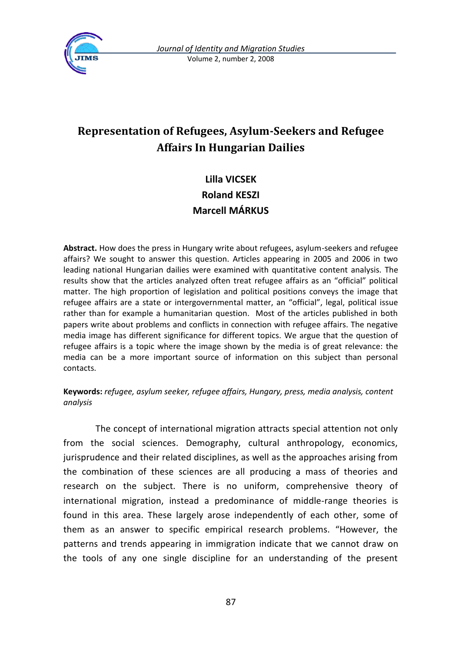

# **Representation of Refugees, Asylum-Seekers and Refugee Affairs In Hungarian Dailies**

## **Lilla VICSEK Roland KESZI Marcell MÁRKUS**

**Abstract.** How does the press in Hungary write about refugees, asylum-seekers and refugee affairs? We sought to answer this question. Articles appearing in 2005 and 2006 in two leading national Hungarian dailies were examined with quantitative content analysis. The results show that the articles analyzed often treat refugee affairs as an "official" political matter. The high proportion of legislation and political positions conveys the image that refugee affairs are a state or intergovernmental matter, an "official", legal, political issue rather than for example a humanitarian question. Most of the articles published in both papers write about problems and conflicts in connection with refugee affairs. The negative media image has different significance for different topics. We argue that the question of refugee affairs is a topic where the image shown by the media is of great relevance: the media can be a more important source of information on this subject than personal contacts.

#### **Keywords:** *refugee, asylum seeker, refugee affairs, Hungary, press, media analysis, content analysis*

The concept of international migration attracts special attention not only from the social sciences. Demography, cultural anthropology, economics, jurisprudence and their related disciplines, as well as the approaches arising from the combination of these sciences are all producing a mass of theories and research on the subject. There is no uniform, comprehensive theory of international migration, instead a predominance of middle-range theories is found in this area. These largely arose independently of each other, some of them as an answer to specific empirical research problems. "However, the patterns and trends appearing in immigration indicate that we cannot draw on the tools of any one single discipline for an understanding of the present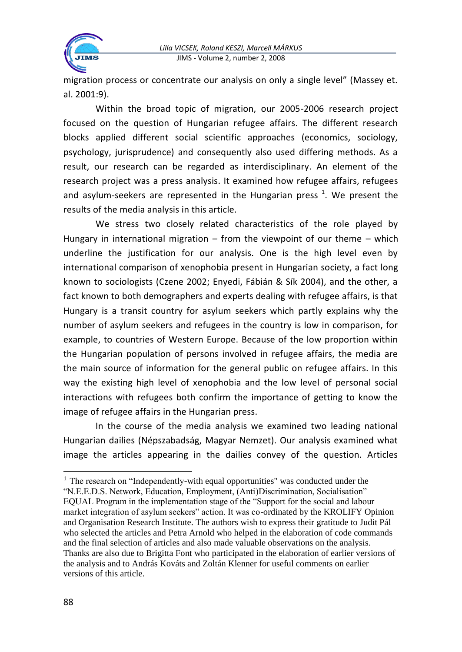

migration process or concentrate our analysis on only a single level" (Massey et. al. 2001:9).

Within the broad topic of migration, our 2005-2006 research project focused on the question of Hungarian refugee affairs. The different research blocks applied different social scientific approaches (economics, sociology, psychology, jurisprudence) and consequently also used differing methods. As a result, our research can be regarded as interdisciplinary. An element of the research project was a press analysis. It examined how refugee affairs, refugees and asylum-seekers are represented in the Hungarian press  $^1$ . We present the results of the media analysis in this article.

We stress two closely related characteristics of the role played by Hungary in international migration – from the viewpoint of our theme – which underline the justification for our analysis. One is the high level even by international comparison of xenophobia present in Hungarian society, a fact long known to sociologists (Czene 2002; Enyedi, Fábián & Sík 2004), and the other, a fact known to both demographers and experts dealing with refugee affairs, is that Hungary is a transit country for asylum seekers which partly explains why the number of asylum seekers and refugees in the country is low in comparison, for example, to countries of Western Europe. Because of the low proportion within the Hungarian population of persons involved in refugee affairs, the media are the main source of information for the general public on refugee affairs. In this way the existing high level of xenophobia and the low level of personal social interactions with refugees both confirm the importance of getting to know the image of refugee affairs in the Hungarian press.

In the course of the media analysis we examined two leading national Hungarian dailies (Népszabadság, Magyar Nemzet). Our analysis examined what image the articles appearing in the dailies convey of the question. Articles

<sup>&</sup>lt;sup>1</sup> The research on "Independently-with equal opportunities" was conducted under the "N.E.E.D.S. Network, Education, Employment, (Anti)Discrimination, Socialisation" EQUAL Program in the implementation stage of the "Support for the social and labour market integration of asylum seekers" action. It was co-ordinated by the KROLIFY Opinion and Organisation Research Institute. The authors wish to express their gratitude to Judit Pál who selected the articles and Petra Arnold who helped in the elaboration of code commands and the final selection of articles and also made valuable observations on the analysis. Thanks are also due to Brigitta Font who participated in the elaboration of earlier versions of the analysis and to András Kováts and Zoltán Klenner for useful comments on earlier versions of this article.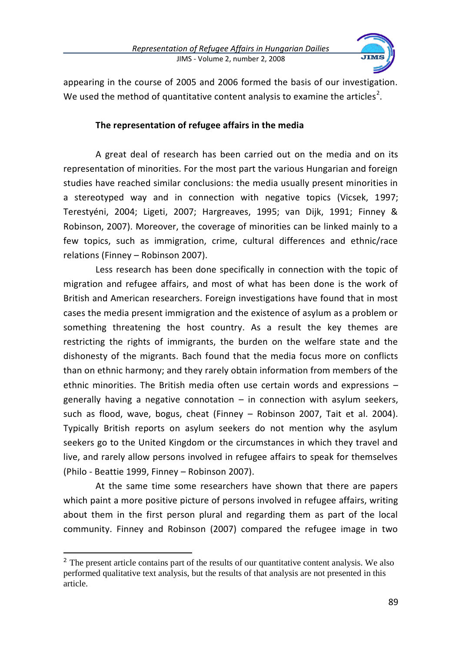

appearing in the course of 2005 and 2006 formed the basis of our investigation. We used the method of quantitative content analysis to examine the articles<sup>2</sup>.

## **The representation of refugee affairs in the media**

A great deal of research has been carried out on the media and on its representation of minorities. For the most part the various Hungarian and foreign studies have reached similar conclusions: the media usually present minorities in a stereotyped way and in connection with negative topics (Vicsek, 1997; Terestyéni, 2004; Ligeti, 2007; Hargreaves, 1995; van Dijk, 1991; Finney & Robinson, 2007). Moreover, the coverage of minorities can be linked mainly to a few topics, such as immigration, crime, cultural differences and ethnic/race relations (Finney – Robinson 2007).

Less research has been done specifically in connection with the topic of migration and refugee affairs, and most of what has been done is the work of British and American researchers. Foreign investigations have found that in most cases the media present immigration and the existence of asylum as a problem or something threatening the host country. As a result the key themes are restricting the rights of immigrants, the burden on the welfare state and the dishonesty of the migrants. Bach found that the media focus more on conflicts than on ethnic harmony; and they rarely obtain information from members of the ethnic minorities. The British media often use certain words and expressions – generally having a negative connotation – in connection with asylum seekers, such as flood, wave, bogus, cheat (Finney – Robinson 2007, Tait et al. 2004). Typically British reports on asylum seekers do not mention why the asylum seekers go to the United Kingdom or the circumstances in which they travel and live, and rarely allow persons involved in refugee affairs to speak for themselves (Philo - Beattie 1999, Finney – Robinson 2007).

At the same time some researchers have shown that there are papers which paint a more positive picture of persons involved in refugee affairs, writing about them in the first person plural and regarding them as part of the local community. Finney and Robinson (2007) compared the refugee image in two

 $\overline{a}$ 

<sup>&</sup>lt;sup>2</sup> The present article contains part of the results of our quantitative content analysis. We also performed qualitative text analysis, but the results of that analysis are not presented in this article.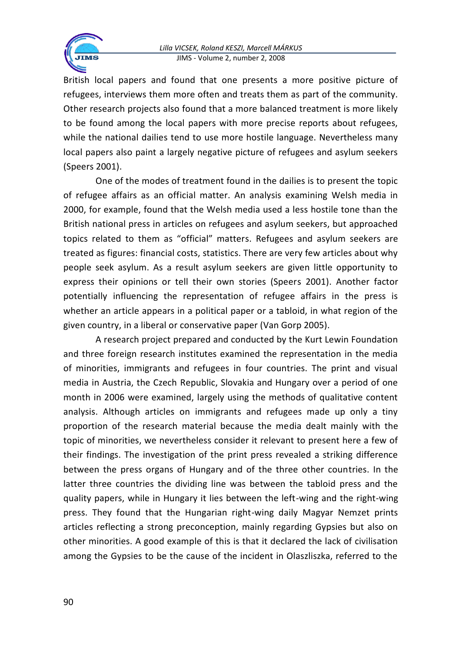

British local papers and found that one presents a more positive picture of refugees, interviews them more often and treats them as part of the community. Other research projects also found that a more balanced treatment is more likely to be found among the local papers with more precise reports about refugees, while the national dailies tend to use more hostile language. Nevertheless many local papers also paint a largely negative picture of refugees and asylum seekers (Speers 2001).

One of the modes of treatment found in the dailies is to present the topic of refugee affairs as an official matter. An analysis examining Welsh media in 2000, for example, found that the Welsh media used a less hostile tone than the British national press in articles on refugees and asylum seekers, but approached topics related to them as "official" matters. Refugees and asylum seekers are treated as figures: financial costs, statistics. There are very few articles about why people seek asylum. As a result asylum seekers are given little opportunity to express their opinions or tell their own stories (Speers 2001). Another factor potentially influencing the representation of refugee affairs in the press is whether an article appears in a political paper or a tabloid, in what region of the given country, in a liberal or conservative paper (Van Gorp 2005).

A research project prepared and conducted by the Kurt Lewin Foundation and three foreign research institutes examined the representation in the media of minorities, immigrants and refugees in four countries. The print and visual media in Austria, the Czech Republic, Slovakia and Hungary over a period of one month in 2006 were examined, largely using the methods of qualitative content analysis. Although articles on immigrants and refugees made up only a tiny proportion of the research material because the media dealt mainly with the topic of minorities, we nevertheless consider it relevant to present here a few of their findings. The investigation of the print press revealed a striking difference between the press organs of Hungary and of the three other countries. In the latter three countries the dividing line was between the tabloid press and the quality papers, while in Hungary it lies between the left-wing and the right-wing press. They found that the Hungarian right-wing daily Magyar Nemzet prints articles reflecting a strong preconception, mainly regarding Gypsies but also on other minorities. A good example of this is that it declared the lack of civilisation among the Gypsies to be the cause of the incident in Olaszliszka, referred to the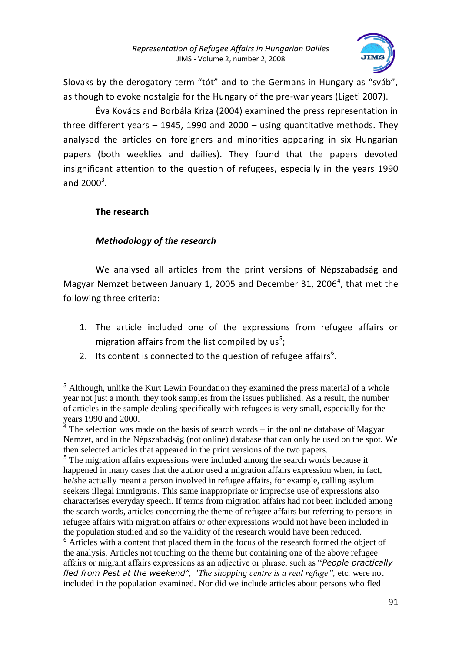

Slovaks by the derogatory term "tót" and to the Germans in Hungary as "sváb", as though to evoke nostalgia for the Hungary of the pre-war years (Ligeti 2007).

Éva Kovács and Borbála Kriza (2004) examined the press representation in three different years – 1945, 1990 and 2000 – using quantitative methods. They analysed the articles on foreigners and minorities appearing in six Hungarian papers (both weeklies and dailies). They found that the papers devoted insignificant attention to the question of refugees, especially in the years 1990 and  $2000^3$ .

## **The research**

 $\ddot{\phantom{a}}$ 

## *Methodology of the research*

We analysed all articles from the print versions of Népszabadság and Magyar Nemzet between January 1, 2005 and December 31, 2006<sup>4</sup>, that met the following three criteria:

- 1. The article included one of the expressions from refugee affairs or migration affairs from the list compiled by  $us^5$ ;
- 2. Its content is connected to the question of refugee affairs $6$ .

<sup>5</sup> The migration affairs expressions were included among the search words because it happened in many cases that the author used a migration affairs expression when, in fact, he/she actually meant a person involved in refugee affairs, for example, calling asylum seekers illegal immigrants. This same inappropriate or imprecise use of expressions also characterises everyday speech. If terms from migration affairs had not been included among the search words, articles concerning the theme of refugee affairs but referring to persons in refugee affairs with migration affairs or other expressions would not have been included in the population studied and so the validity of the research would have been reduced.

<sup>6</sup> Articles with a content that placed them in the focus of the research formed the object of the analysis. Articles not touching on the theme but containing one of the above refugee affairs or migrant affairs expressions as an adjective or phrase, such as "*People practically fled from Pest at the weekend", "The shopping centre is a real refuge",* etc*.* were not included in the population examined*.* Nor did we include articles about persons who fled

<sup>&</sup>lt;sup>3</sup> Although, unlike the Kurt Lewin Foundation they examined the press material of a whole year not just a month, they took samples from the issues published. As a result, the number of articles in the sample dealing specifically with refugees is very small, especially for the years 1990 and 2000.

 $4^4$  The selection was made on the basis of search words – in the online database of Magyar Nemzet, and in the Népszabadság (not online) database that can only be used on the spot. We then selected articles that appeared in the print versions of the two papers.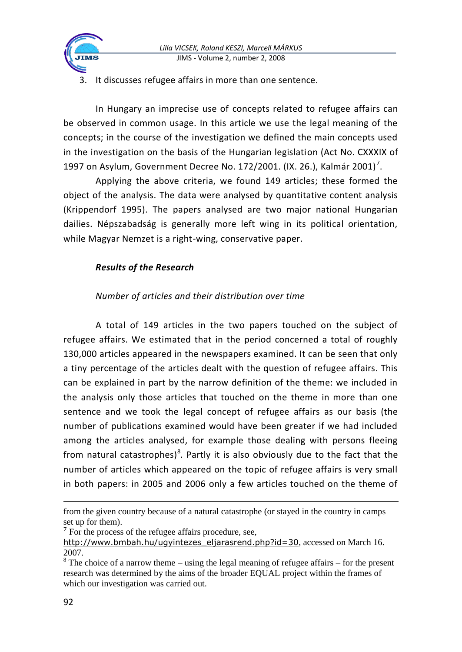

It discusses refugee affairs in more than one sentence.

In Hungary an imprecise use of concepts related to refugee affairs can be observed in common usage. In this article we use the legal meaning of the concepts; in the course of the investigation we defined the main concepts used in the investigation on the basis of the Hungarian legislation (Act No. CXXXIX of 1997 on Asylum, Government Decree No. 172/2001. (IX. 26.), Kalmár 2001)<sup>7</sup>.

Applying the above criteria, we found 149 articles; these formed the object of the analysis. The data were analysed by quantitative content analysis (Krippendorf 1995). The papers analysed are two major national Hungarian dailies. Népszabadság is generally more left wing in its political orientation, while Magyar Nemzet is a right-wing, conservative paper.

## *Results of the Research*

## *Number of articles and their distribution over time*

A total of 149 articles in the two papers touched on the subject of refugee affairs. We estimated that in the period concerned a total of roughly 130,000 articles appeared in the newspapers examined. It can be seen that only a tiny percentage of the articles dealt with the question of refugee affairs. This can be explained in part by the narrow definition of the theme: we included in the analysis only those articles that touched on the theme in more than one sentence and we took the legal concept of refugee affairs as our basis (the number of publications examined would have been greater if we had included among the articles analysed, for example those dealing with persons fleeing from natural catastrophes)<sup>8</sup>. Partly it is also obviously due to the fact that the number of articles which appeared on the topic of refugee affairs is very small in both papers: in 2005 and 2006 only a few articles touched on the theme of

from the given country because of a natural catastrophe (or stayed in the country in camps set up for them).

<sup>&</sup>lt;sup>7</sup> For the process of the refugee affairs procedure, see,

[http://www.bmbah.hu/ugyintezes\\_eljarasrend.php?id=30](http://www.bmbah.hu/ugyintezes_eljarasrend.php?id=30), accessed on March 16. 2007.

 $8$  The choice of a narrow theme – using the legal meaning of refugee affairs – for the present research was determined by the aims of the broader EQUAL project within the frames of which our investigation was carried out.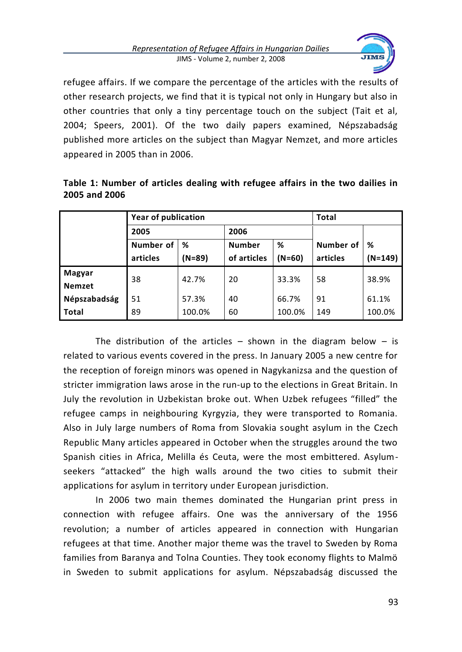

refugee affairs. If we compare the percentage of the articles with the results of other research projects, we find that it is typical not only in Hungary but also in other countries that only a tiny percentage touch on the subject (Tait et al, 2004; Speers, 2001). Of the two daily papers examined, Népszabadság published more articles on the subject than Magyar Nemzet, and more articles appeared in 2005 than in 2006.

| Table 1: Number of articles dealing with refugee affairs in the two dailies in |  |  |  |  |  |  |
|--------------------------------------------------------------------------------|--|--|--|--|--|--|
| 2005 and 2006                                                                  |  |  |  |  |  |  |

|               | <b>Year of publication</b> |          |                    |        | <b>Total</b> |           |  |
|---------------|----------------------------|----------|--------------------|--------|--------------|-----------|--|
|               | 2005<br>Number of<br>%     |          | 2006               |        |              |           |  |
|               |                            |          | <b>Number</b><br>% |        | Number of    | %         |  |
|               | articles                   | $(N=89)$ | of articles        | (N=60) | articles     | $(N=149)$ |  |
| Magyar        | 38                         | 42.7%    | 20                 | 33.3%  | 58           | 38.9%     |  |
| <b>Nemzet</b> |                            |          |                    |        |              |           |  |
| Népszabadság  | 51                         | 57.3%    | 40                 | 66.7%  | 91           | 61.1%     |  |
| <b>Total</b>  | 89                         | 100.0%   | 60                 | 100.0% | 149          | 100.0%    |  |

The distribution of the articles  $-$  shown in the diagram below  $-$  is related to various events covered in the press. In January 2005 a new centre for the reception of foreign minors was opened in Nagykanizsa and the question of stricter immigration laws arose in the run-up to the elections in Great Britain. In July the revolution in Uzbekistan broke out. When Uzbek refugees "filled" the refugee camps in neighbouring Kyrgyzia, they were transported to Romania. Also in July large numbers of Roma from Slovakia sought asylum in the Czech Republic Many articles appeared in October when the struggles around the two Spanish cities in Africa, Melilla és Ceuta, were the most embittered. Asylumseekers "attacked" the high walls around the two cities to submit their applications for asylum in territory under European jurisdiction.

In 2006 two main themes dominated the Hungarian print press in connection with refugee affairs. One was the anniversary of the 1956 revolution; a number of articles appeared in connection with Hungarian refugees at that time. Another major theme was the travel to Sweden by Roma families from Baranya and Tolna Counties. They took economy flights to Malmö in Sweden to submit applications for asylum. Népszabadság discussed the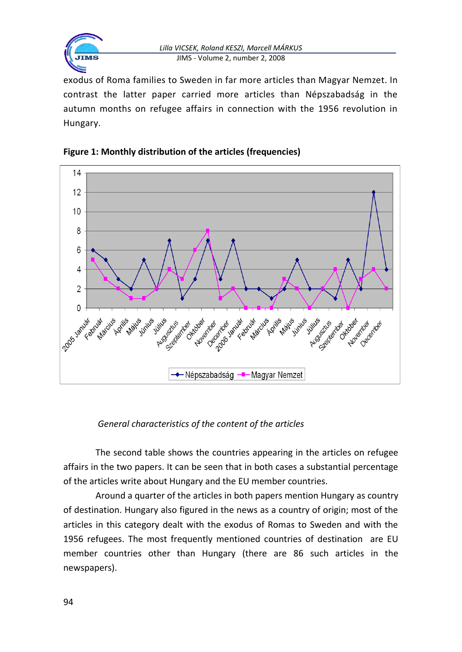

exodus of Roma families to Sweden in far more articles than Magyar Nemzet. In contrast the latter paper carried more articles than Népszabadság in the autumn months on refugee affairs in connection with the 1956 revolution in Hungary.





*General characteristics of the content of the articles*

The second table shows the countries appearing in the articles on refugee affairs in the two papers. It can be seen that in both cases a substantial percentage of the articles write about Hungary and the EU member countries.

Around a quarter of the articles in both papers mention Hungary as country of destination. Hungary also figured in the news as a country of origin; most of the articles in this category dealt with the exodus of Romas to Sweden and with the 1956 refugees. The most frequently mentioned countries of destination are EU member countries other than Hungary (there are 86 such articles in the newspapers).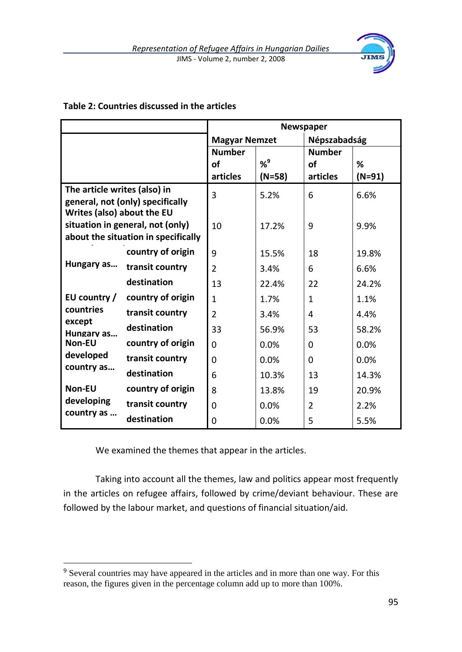

#### **Table 2: Countries discussed in the articles**

|                                                                         |                                  | <b>Newspaper</b>     |          |               |          |  |
|-------------------------------------------------------------------------|----------------------------------|----------------------|----------|---------------|----------|--|
|                                                                         |                                  | <b>Magyar Nemzet</b> |          | Népszabadság  |          |  |
|                                                                         |                                  | <b>Number</b>        |          | <b>Number</b> |          |  |
|                                                                         |                                  | of                   | $% ^{9}$ | of            | %        |  |
|                                                                         |                                  | articles             | $(N=58)$ | articles      | $(N=91)$ |  |
| The article writes (also) in<br>Writes (also) about the EU              | general, not (only) specifically | 3                    | 5.2%     | 6             | 6.6%     |  |
| situation in general, not (only)<br>about the situation in specifically |                                  | 10                   | 17.2%    | 9             | 9.9%     |  |
|                                                                         | country of origin                | 9                    | 15.5%    | 18            | 19.8%    |  |
| Hungary as                                                              | transit country                  | $\mathfrak{p}$       | 3.4%     | 6             | 6.6%     |  |
|                                                                         | destination                      | 13                   | 22.4%    | 22            | 24.2%    |  |
| EU country /                                                            | country of origin                | 1                    | 1.7%     | 1             | 1.1%     |  |
| countries                                                               | transit country                  | $\mathfrak{p}$       | 3.4%     | 4             | 4.4%     |  |
| except<br>Hungary as                                                    | destination                      | 33                   | 56.9%    | 53            | 58.2%    |  |
| Non-EU                                                                  | country of origin                | 0                    | 0.0%     | $\Omega$      | 0.0%     |  |
| developed<br>country as                                                 | transit country                  | 0                    | 0.0%     | 0             | $0.0\%$  |  |
|                                                                         | destination                      | 6                    | 10.3%    | 13            | 14.3%    |  |
| Non-EU                                                                  | country of origin                | 8                    | 13.8%    | 19            | 20.9%    |  |
| developing                                                              | transit country                  | 0                    | 0.0%     | 2             | 2.2%     |  |
| country as                                                              | destination                      | 0                    | 0.0%     | 5             | 5.5%     |  |

We examined the themes that appear in the articles.

 $\ddot{\phantom{a}}$ 

Taking into account all the themes, law and politics appear most frequently in the articles on refugee affairs, followed by crime/deviant behaviour. These are followed by the labour market, and questions of financial situation/aid.

<sup>&</sup>lt;sup>9</sup> Several countries may have appeared in the articles and in more than one way. For this reason, the figures given in the percentage column add up to more than 100%.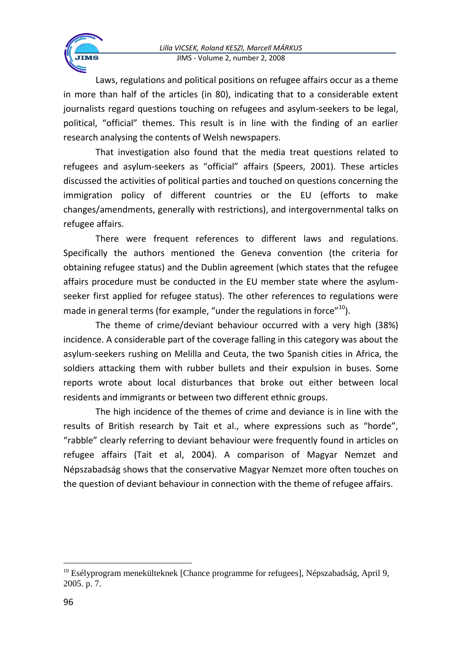Laws, regulations and political positions on refugee affairs occur as a theme in more than half of the articles (in 80), indicating that to a considerable extent journalists regard questions touching on refugees and asylum-seekers to be legal, political, "official" themes. This result is in line with the finding of an earlier research analysing the contents of Welsh newspapers.

That investigation also found that the media treat questions related to refugees and asylum-seekers as "official" affairs (Speers, 2001). These articles discussed the activities of political parties and touched on questions concerning the immigration policy of different countries or the EU (efforts to make changes/amendments, generally with restrictions), and intergovernmental talks on refugee affairs.

There were frequent references to different laws and regulations. Specifically the authors mentioned the Geneva convention (the criteria for obtaining refugee status) and the Dublin agreement (which states that the refugee affairs procedure must be conducted in the EU member state where the asylumseeker first applied for refugee status). The other references to regulations were made in general terms (for example, "under the regulations in force"<sup>10</sup>).

The theme of crime/deviant behaviour occurred with a very high (38%) incidence. A considerable part of the coverage falling in this category was about the asylum-seekers rushing on Melilla and Ceuta, the two Spanish cities in Africa, the soldiers attacking them with rubber bullets and their expulsion in buses. Some reports wrote about local disturbances that broke out either between local residents and immigrants or between two different ethnic groups.

The high incidence of the themes of crime and deviance is in line with the results of British research by Tait et al., where expressions such as "horde", "rabble" clearly referring to deviant behaviour were frequently found in articles on refugee affairs (Tait et al, 2004). A comparison of Magyar Nemzet and Népszabadság shows that the conservative Magyar Nemzet more often touches on the question of deviant behaviour in connection with the theme of refugee affairs.

<sup>&</sup>lt;sup>10</sup> Esélyprogram menekülteknek [Chance programme for refugees], Népszabadság, April 9, 2005. p. 7.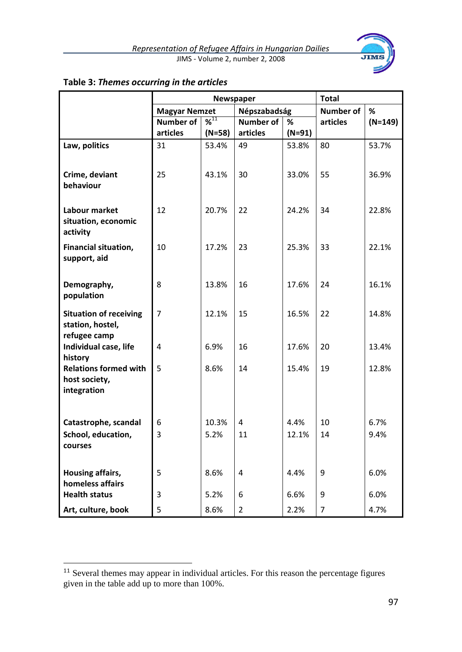

|                                                                   | Newspaper            |               |                  |          | <b>Total</b>   |           |  |
|-------------------------------------------------------------------|----------------------|---------------|------------------|----------|----------------|-----------|--|
|                                                                   | <b>Magyar Nemzet</b> |               | Népszabadság     |          | Number of      | %         |  |
|                                                                   | <b>Number of</b>     | $\frac{1}{2}$ | <b>Number of</b> | %        | articles       | $(N=149)$ |  |
|                                                                   | articles             | $(N=58)$      | articles         | $(N=91)$ |                |           |  |
| Law, politics                                                     | 31                   | 53.4%         | 49               | 53.8%    | 80             | 53.7%     |  |
| Crime, deviant<br>behaviour                                       | 25                   | 43.1%         | 30               | 33.0%    | 55             | 36.9%     |  |
| Labour market<br>situation, economic<br>activity                  | 12                   | 20.7%         | 22               | 24.2%    | 34             | 22.8%     |  |
| Financial situation,<br>support, aid                              | 10                   | 17.2%         | 23               | 25.3%    | 33             | 22.1%     |  |
| Demography,<br>population                                         | 8                    | 13.8%         | 16               | 17.6%    | 24             | 16.1%     |  |
| <b>Situation of receiving</b><br>station, hostel,<br>refugee camp | $\overline{7}$       | 12.1%         | 15               | 16.5%    | 22             | 14.8%     |  |
| Individual case, life<br>history                                  | 4                    | 6.9%          | 16               | 17.6%    | 20             | 13.4%     |  |
| <b>Relations formed with</b><br>host society,<br>integration      | 5                    | 8.6%          | 14               | 15.4%    | 19             | 12.8%     |  |
| Catastrophe, scandal                                              | 6                    | 10.3%         | 4                | 4.4%     | 10             | 6.7%      |  |
| School, education,<br>courses                                     | 3                    | 5.2%          | 11               | 12.1%    | 14             | 9.4%      |  |
| Housing affairs,<br>homeless affairs                              | 5                    | 8.6%          | 4                | 4.4%     | 9              | 6.0%      |  |
| <b>Health status</b>                                              | 3                    | 5.2%          | 6                | 6.6%     | 9              | 6.0%      |  |
| Art, culture, book                                                | 5                    | 8.6%          | $\overline{2}$   | 2.2%     | $\overline{7}$ | 4.7%      |  |

## **Table 3:** *Themes occurring in the articles*

 $11$  Several themes may appear in individual articles. For this reason the percentage figures given in the table add up to more than 100%.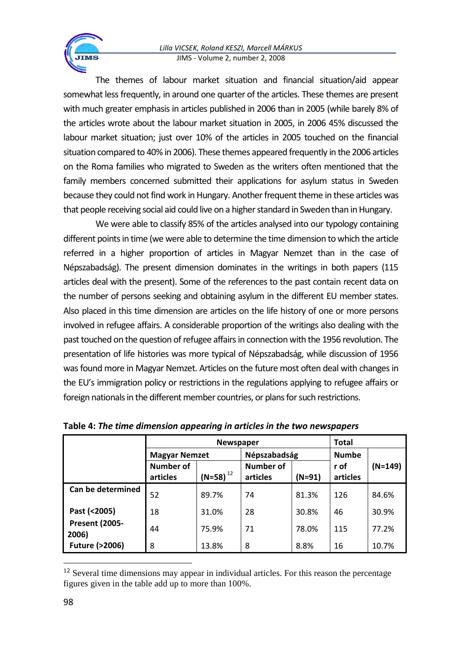The themes of labour market situation and financial situation/aid appear somewhat less frequently, in around one quarter of the articles. These themes are present with much greater emphasis in articles published in 2006 than in 2005 (while barely 8% of the articles wrote about the labour market situation in 2005, in 2006 45% discussed the labour market situation; just over 10% of the articles in 2005 touched on the financial situation compared to 40% in 2006). These themes appeared frequently in the 2006 articles on the Roma families who migrated to Sweden as the writers often mentioned that the family members concerned submitted their applications for asylum status in Sweden because they could not find work in Hungary. Another frequent theme in these articles was that people receiving social aid could live on a higher standard in Sweden than in Hungary.

We were able to classify 85% of the articles analysed into our typology containing different points in time (we were able to determine the time dimension to which the article referred in a higher proportion of articles in Magyar Nemzet than in the case of Népszabadság). The present dimension dominates in the writings in both papers (115 articles deal with the present). Some of the references to the past contain recent data on the number of persons seeking and obtaining asylum in the different EU member states. Also placed in this time dimension are articles on the life history of one or more persons involved in refugee affairs. A considerable proportion of the writings also dealing with the past touched on the question of refugee affairs in connection with the 1956 revolution. The presentation of life histories was more typical of Népszabadság, while discussion of 1956 was found more in Magyar Nemzet. Articles on the future most often deal with changes in the EU's immigration policy or restrictions in the regulations applying to refugee affairs or foreign nationals in the different member countries, or plans for such restrictions.

|                                |                              | <b>Total</b>  |                       |          |                  |           |
|--------------------------------|------------------------------|---------------|-----------------------|----------|------------------|-----------|
|                                | <b>Magyar Nemzet</b>         |               | Népszabadság          |          | <b>Numbe</b>     |           |
|                                | <b>Number of</b><br>articles | $(N=58)^{12}$ | Number of<br>articles | $(N=91)$ | r of<br>articles | $(N=149)$ |
| Can be determined              | 52                           | 89.7%         | 74                    | 81.3%    | 126              | 84.6%     |
| Past (<2005)                   | 18                           | 31.0%         | 28                    | 30.8%    | 46               | 30.9%     |
| <b>Present (2005-</b><br>2006) | 44                           | 75.9%         | 71                    | 78.0%    | 115              | 77.2%     |
| <b>Future (&gt;2006)</b>       | 8                            | 13.8%         | 8                     | 8.8%     | 16               | 10.7%     |

**Table 4:** *The time dimension appearing in articles in the two newspapers*

<sup>&</sup>lt;sup>12</sup> Several time dimensions may appear in individual articles. For this reason the percentage figures given in the table add up to more than 100%.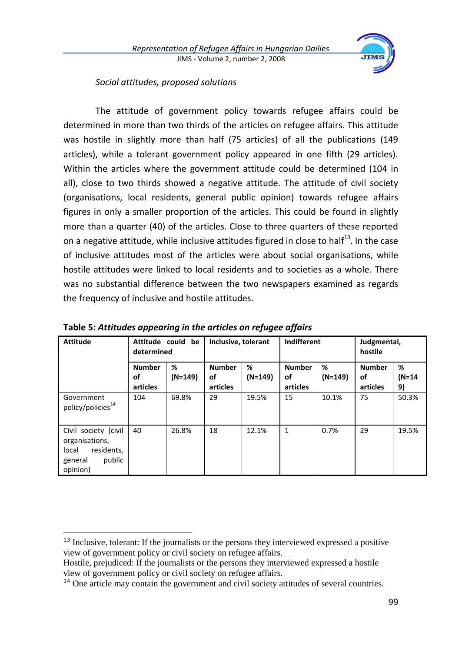

#### *Social attitudes, proposed solutions*

The attitude of government policy towards refugee affairs could be determined in more than two thirds of the articles on refugee affairs. This attitude was hostile in slightly more than half (75 articles) of all the publications (149 articles), while a tolerant government policy appeared in one fifth (29 articles). Within the articles where the government attitude could be determined (104 in all), close to two thirds showed a negative attitude. The attitude of civil society (organisations, local residents, general public opinion) towards refugee affairs figures in only a smaller proportion of the articles. This could be found in slightly more than a quarter (40) of the articles. Close to three quarters of these reported on a negative attitude, while inclusive attitudes figured in close to half<sup>13</sup>. In the case of inclusive attitudes most of the articles were about social organisations, while hostile attitudes were linked to local residents and to societies as a whole. There was no substantial difference between the two newspapers examined as regards the frequency of inclusive and hostile attitudes.

| <b>Attitude</b>                                                                                | Attitude could<br>determined | be        | Inclusive, tolerant |           | Indifferent   |           | Judgmental,<br>hostile |          |
|------------------------------------------------------------------------------------------------|------------------------------|-----------|---------------------|-----------|---------------|-----------|------------------------|----------|
|                                                                                                | <b>Number</b>                | %         | <b>Number</b>       | %         | <b>Number</b> | %         | <b>Number</b>          | %        |
|                                                                                                | οf                           | $(N=149)$ | of                  | $(N=149)$ | οf            | $(N=149)$ | οf                     | $(N=14)$ |
|                                                                                                | articles                     |           | articles            |           | articles      |           | articles               | 9)       |
| Government<br>policy/policies <sup>14</sup>                                                    | 104                          | 69.8%     | 29                  | 19.5%     | 15            | 10.1%     | 75                     | 50.3%    |
| Civil society (civil<br>organisations,<br>local<br>residents,<br>public<br>general<br>opinion) | 40                           | 26.8%     | 18                  | 12.1%     | 1             | 0.7%      | 29                     | 19.5%    |

**Table 5:** *Attitudes appearing in the articles on refugee affairs*

<sup>&</sup>lt;sup>13</sup> Inclusive, tolerant: If the journalists or the persons they interviewed expressed a positive view of government policy or civil society on refugee affairs.

Hostile, prejudiced: If the journalists or the persons they interviewed expressed a hostile view of government policy or civil society on refugee affairs.

<sup>&</sup>lt;sup>14</sup> One article may contain the government and civil society attitudes of several countries.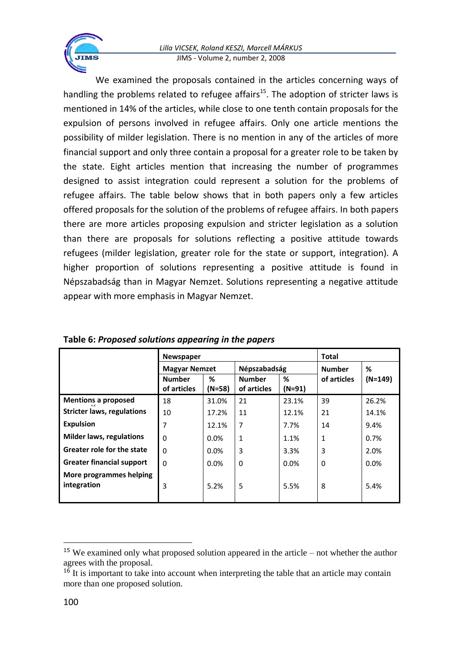We examined the proposals contained in the articles concerning ways of handling the problems related to refugee affairs<sup>15</sup>. The adoption of stricter laws is mentioned in 14% of the articles, while close to one tenth contain proposals for the expulsion of persons involved in refugee affairs. Only one article mentions the possibility of milder legislation. There is no mention in any of the articles of more financial support and only three contain a proposal for a greater role to be taken by the state. Eight articles mention that increasing the number of programmes designed to assist integration could represent a solution for the problems of refugee affairs. The table below shows that in both papers only a few articles offered proposals for the solution of the problems of refugee affairs. In both papers there are more articles proposing expulsion and stricter legislation as a solution than there are proposals for solutions reflecting a positive attitude towards refugees (milder legislation, greater role for the state or support, integration). A higher proportion of solutions representing a positive attitude is found in Népszabadság than in Magyar Nemzet. Solutions representing a negative attitude appear with more emphasis in Magyar Nemzet.

|                                        | <b>Newspaper</b>     |        | Total         |          |               |         |
|----------------------------------------|----------------------|--------|---------------|----------|---------------|---------|
|                                        | <b>Magyar Nemzet</b> |        | Népszabadság  |          | <b>Number</b> | %       |
|                                        | <b>Number</b>        | %      | <b>Number</b> | %        | of articles   | (N=149) |
|                                        | of articles          | (N=58) | of articles   | $(N=91)$ |               |         |
| <b>Mentions a proposed</b>             | 18                   | 31.0%  | 21            | 23.1%    | 39            | 26.2%   |
| <b>Stricter laws, regulations</b>      | 10                   | 17.2%  | 11            | 12.1%    | 21            | 14.1%   |
| <b>Expulsion</b>                       | 7                    | 12.1%  | 7             | 7.7%     | 14            | 9.4%    |
| <b>Milder laws, regulations</b>        | 0                    | 0.0%   | 1             | 1.1%     | 1             | 0.7%    |
| Greater role for the state             | $\Omega$             | 0.0%   | 3             | 3.3%     | 3             | 2.0%    |
| <b>Greater financial support</b>       | $\Omega$             | 0.0%   | $\Omega$      | 0.0%     | $\Omega$      | 0.0%    |
| More programmes helping<br>integration | 3                    | 5.2%   | 5             | 5.5%     | 8             | 5.4%    |

**Table 6:** *Proposed solutions appearing in the papers*

<sup>15</sup> We examined only what proposed solution appeared in the article – not whether the author agrees with the proposal.

 $1<sup>6</sup>$  It is important to take into account when interpreting the table that an article may contain more than one proposed solution.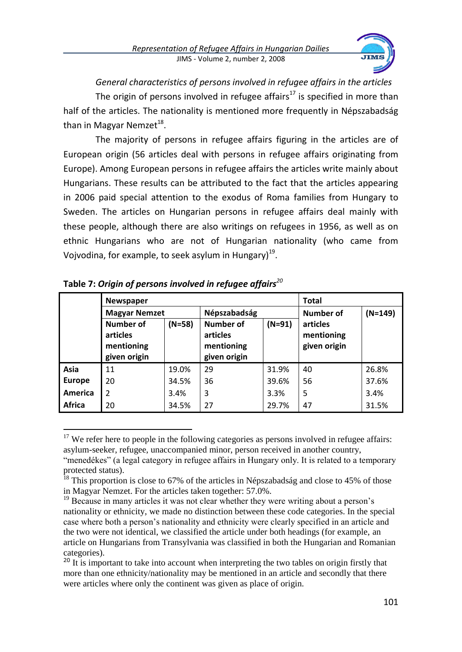

*General characteristics of persons involved in refugee affairs in the articles* The origin of persons involved in refugee affairs<sup>17</sup> is specified in more than half of the articles. The nationality is mentioned more frequently in Népszabadság than in Magyar Nemzet<sup>18</sup>.

The majority of persons in refugee affairs figuring in the articles are of European origin (56 articles deal with persons in refugee affairs originating from Europe). Among European persons in refugee affairs the articles write mainly about Hungarians. These results can be attributed to the fact that the articles appearing in 2006 paid special attention to the exodus of Roma families from Hungary to Sweden. The articles on Hungarian persons in refugee affairs deal mainly with these people, although there are also writings on refugees in 1956, as well as on ethnic Hungarians who are not of Hungarian nationality (who came from Vojvodina, for example, to seek asylum in Hungary)<sup>19</sup>.

|                | <b>Newspaper</b>                                    |          |                                                     | <b>Total</b> |                                        |           |  |
|----------------|-----------------------------------------------------|----------|-----------------------------------------------------|--------------|----------------------------------------|-----------|--|
|                | <b>Magyar Nemzet</b>                                |          | Népszabadság                                        |              | Number of                              | $(N=149)$ |  |
|                | Number of<br>articles<br>mentioning<br>given origin | $(N=58)$ | Number of<br>articles<br>mentioning<br>given origin | $(N=91)$     | articles<br>mentioning<br>given origin |           |  |
| Asia           | 11                                                  | 19.0%    | 29                                                  | 31.9%        | 40                                     | 26.8%     |  |
| <b>Europe</b>  | 20                                                  | 34.5%    | 36                                                  | 39.6%        | 56                                     | 37.6%     |  |
| <b>America</b> | $\overline{2}$                                      | 3.4%     | 3                                                   | 3.3%         | 5                                      | 3.4%      |  |
| Africa         | 20                                                  | 34.5%    | 27                                                  | 29.7%        | 47                                     | 31.5%     |  |

| Table 7: Origin of persons involved in refugee affairs $^{20}$ |  |  |
|----------------------------------------------------------------|--|--|
|----------------------------------------------------------------|--|--|

 $\overline{a}$  $17$  We refer here to people in the following categories as persons involved in refugee affairs: asylum-seeker, refugee, unaccompanied minor, person received in another country,

<sup>&</sup>quot;menedékes" (a legal category in refugee affairs in Hungary only. It is related to a temporary protected status).

<sup>&</sup>lt;sup>18</sup> This proportion is close to 67% of the articles in Népszabadság and close to 45% of those in Magyar Nemzet. For the articles taken together: 57.0%.

<sup>&</sup>lt;sup>19</sup> Because in many articles it was not clear whether they were writing about a person's nationality or ethnicity, we made no distinction between these code categories. In the special case where both a person's nationality and ethnicity were clearly specified in an article and the two were not identical, we classified the article under both headings (for example, an article on Hungarians from Transylvania was classified in both the Hungarian and Romanian categories).

<sup>&</sup>lt;sup>20</sup> It is important to take into account when interpreting the two tables on origin firstly that more than one ethnicity/nationality may be mentioned in an article and secondly that there were articles where only the continent was given as place of origin.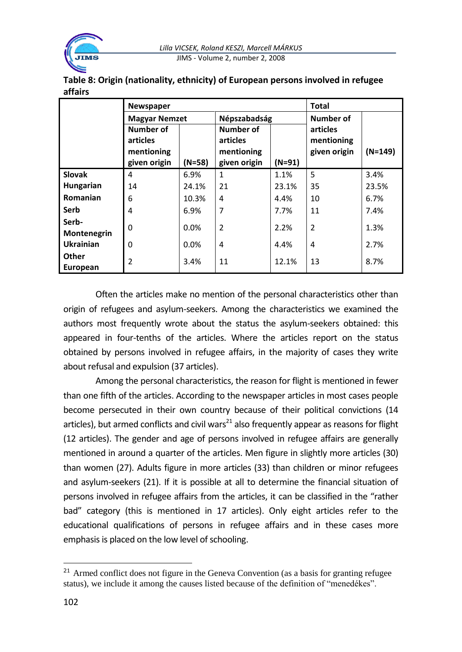

| Table 8: Origin (nationality, ethnicity) of European persons involved in refugee |  |
|----------------------------------------------------------------------------------|--|
| affairs                                                                          |  |

|                      | Newspaper                                           |          | <b>Total</b>                                        |          |                                        |           |
|----------------------|-----------------------------------------------------|----------|-----------------------------------------------------|----------|----------------------------------------|-----------|
|                      | <b>Magyar Nemzet</b>                                |          | Népszabadság                                        |          | Number of                              |           |
|                      | Number of<br>articles<br>mentioning<br>given origin | $(N=58)$ | Number of<br>articles<br>mentioning<br>given origin | $(N=91)$ | articles<br>mentioning<br>given origin | $(N=149)$ |
| <b>Slovak</b>        | 4                                                   | 6.9%     | $\mathbf{1}$                                        | 1.1%     | 5                                      | 3.4%      |
| Hungarian            | 14                                                  | 24.1%    | 21                                                  | 23.1%    | 35                                     | 23.5%     |
| Romanian             | 6                                                   | 10.3%    | 4                                                   | 4.4%     | 10                                     | 6.7%      |
| Serb                 | 4                                                   | 6.9%     | 7                                                   | 7.7%     | 11                                     | 7.4%      |
| Serb-<br>Montenegrin | 0                                                   | $0.0\%$  | $\overline{2}$                                      | 2.2%     | $\overline{\phantom{a}}$               | 1.3%      |
| <b>Ukrainian</b>     | 0                                                   | $0.0\%$  | 4                                                   | 4.4%     | 4                                      | 2.7%      |
| Other<br>European    | 2                                                   | 3.4%     | 11                                                  | 12.1%    | 13                                     | 8.7%      |

Often the articles make no mention of the personal characteristics other than origin of refugees and asylum-seekers. Among the characteristics we examined the authors most frequently wrote about the status the asylum-seekers obtained: this appeared in four-tenths of the articles. Where the articles report on the status obtained by persons involved in refugee affairs, in the majority of cases they write about refusal and expulsion (37 articles).

Among the personal characteristics, the reason for flight is mentioned in fewer than one fifth of the articles. According to the newspaper articles in most cases people become persecuted in their own country because of their political convictions (14 articles), but armed conflicts and civil wars<sup>21</sup> also frequently appear as reasons for flight (12 articles). The gender and age of persons involved in refugee affairs are generally mentioned in around a quarter of the articles. Men figure in slightly more articles (30) than women (27). Adults figure in more articles (33) than children or minor refugees and asylum-seekers (21). If it is possible at all to determine the financial situation of persons involved in refugee affairs from the articles, it can be classified in the "rather bad" category (this is mentioned in 17 articles). Only eight articles refer to the educational qualifications of persons in refugee affairs and in these cases more emphasis is placed on the low level of schooling.

 $21$  Armed conflict does not figure in the Geneva Convention (as a basis for granting refugee status), we include it among the causes listed because of the definition of "menedékes".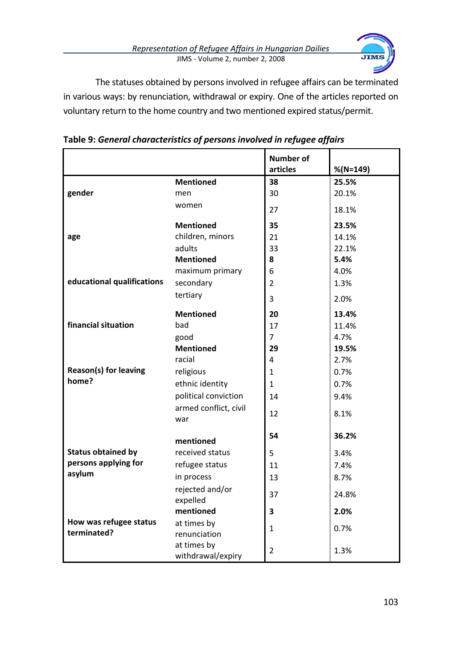*Representation of Refugee Affairs in Hungarian Dailies* JIMS - Volume 2, number 2, 2008



The statuses obtained by persons involved in refugee affairs can be terminated in various ways: by renunciation, withdrawal or expiry. One of the articles reported on voluntary return to the home country and two mentioned expired status/permit.

|                            |                                  | <b>Number of</b> |             |
|----------------------------|----------------------------------|------------------|-------------|
|                            |                                  | articles         | $%$ (N=149) |
|                            | <b>Mentioned</b>                 | 38               | 25.5%       |
| gender                     | men                              | 30               | 20.1%       |
|                            | women                            | 27               | 18.1%       |
|                            | <b>Mentioned</b>                 | 35               | 23.5%       |
| age                        | children, minors                 | 21               | 14.1%       |
|                            | adults                           | 33               | 22.1%       |
|                            | <b>Mentioned</b>                 | 8                | 5.4%        |
|                            | maximum primary                  | 6                | 4.0%        |
| educational qualifications | secondary                        | $\overline{2}$   | 1.3%        |
|                            | tertiary                         | 3                | 2.0%        |
|                            | <b>Mentioned</b>                 | 20               | 13.4%       |
| financial situation        | bad                              | 17               | 11.4%       |
|                            | good                             | $\overline{7}$   | 4.7%        |
|                            | <b>Mentioned</b>                 | 29               | 19.5%       |
|                            | racial                           | $\overline{4}$   | 2.7%        |
| Reason(s) for leaving      | religious                        | $\mathbf{1}$     | 0.7%        |
| home?                      | ethnic identity                  | $\mathbf{1}$     | 0.7%        |
|                            | political conviction             | 14               | 9.4%        |
|                            | armed conflict, civil<br>war     | 12               | 8.1%        |
|                            | mentioned                        | 54               | 36.2%       |
| <b>Status obtained by</b>  | received status                  | 5                | 3.4%        |
| persons applying for       | refugee status                   | 11               | 7.4%        |
| asylum                     | in process                       | 13               | 8.7%        |
|                            | rejected and/or<br>expelled      | 37               | 24.8%       |
|                            | mentioned                        | 3                | 2.0%        |
| How was refugee status     | at times by                      |                  |             |
| terminated?                | renunciation                     | $\mathbf{1}$     | 0.7%        |
|                            | at times by<br>withdrawal/expiry | $\overline{2}$   | 1.3%        |

**Table 9:** *General characteristics of persons involved in refugee affairs*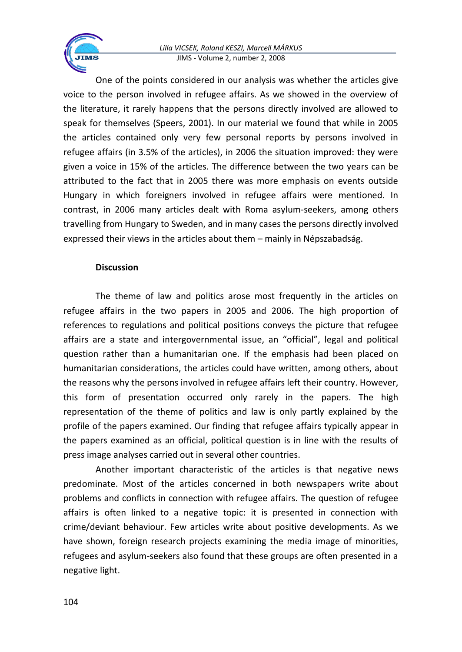One of the points considered in our analysis was whether the articles give voice to the person involved in refugee affairs. As we showed in the overview of the literature, it rarely happens that the persons directly involved are allowed to speak for themselves (Speers, 2001). In our material we found that while in 2005 the articles contained only very few personal reports by persons involved in refugee affairs (in 3.5% of the articles), in 2006 the situation improved: they were given a voice in 15% of the articles. The difference between the two years can be attributed to the fact that in 2005 there was more emphasis on events outside Hungary in which foreigners involved in refugee affairs were mentioned. In contrast, in 2006 many articles dealt with Roma asylum-seekers, among others travelling from Hungary to Sweden, and in many cases the persons directly involved expressed their views in the articles about them – mainly in Népszabadság.

#### **Discussion**

The theme of law and politics arose most frequently in the articles on refugee affairs in the two papers in 2005 and 2006. The high proportion of references to regulations and political positions conveys the picture that refugee affairs are a state and intergovernmental issue, an "official", legal and political question rather than a humanitarian one. If the emphasis had been placed on humanitarian considerations, the articles could have written, among others, about the reasons why the persons involved in refugee affairs left their country. However, this form of presentation occurred only rarely in the papers. The high representation of the theme of politics and law is only partly explained by the profile of the papers examined. Our finding that refugee affairs typically appear in the papers examined as an official, political question is in line with the results of press image analyses carried out in several other countries.

Another important characteristic of the articles is that negative news predominate. Most of the articles concerned in both newspapers write about problems and conflicts in connection with refugee affairs. The question of refugee affairs is often linked to a negative topic: it is presented in connection with crime/deviant behaviour. Few articles write about positive developments. As we have shown, foreign research projects examining the media image of minorities, refugees and asylum-seekers also found that these groups are often presented in a negative light.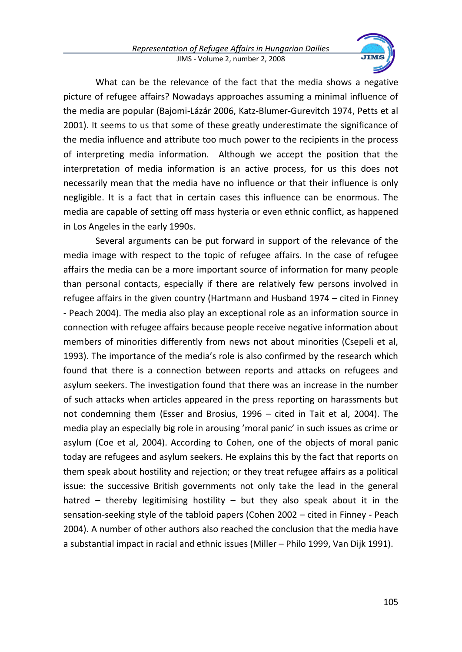

What can be the relevance of the fact that the media shows a negative picture of refugee affairs? Nowadays approaches assuming a minimal influence of the media are popular (Bajomi-Lázár 2006, Katz-Blumer-Gurevitch 1974, Petts et al 2001). It seems to us that some of these greatly underestimate the significance of the media influence and attribute too much power to the recipients in the process of interpreting media information. Although we accept the position that the interpretation of media information is an active process, for us this does not necessarily mean that the media have no influence or that their influence is only negligible. It is a fact that in certain cases this influence can be enormous. The media are capable of setting off mass hysteria or even ethnic conflict, as happened in Los Angeles in the early 1990s.

Several arguments can be put forward in support of the relevance of the media image with respect to the topic of refugee affairs. In the case of refugee affairs the media can be a more important source of information for many people than personal contacts, especially if there are relatively few persons involved in refugee affairs in the given country (Hartmann and Husband 1974 – cited in Finney - Peach 2004). The media also play an exceptional role as an information source in connection with refugee affairs because people receive negative information about members of minorities differently from news not about minorities (Csepeli et al, 1993). The importance of the media's role is also confirmed by the research which found that there is a connection between reports and attacks on refugees and asylum seekers. The investigation found that there was an increase in the number of such attacks when articles appeared in the press reporting on harassments but not condemning them (Esser and Brosius, 1996 – cited in Tait et al, 2004). The media play an especially big role in arousing 'moral panic' in such issues as crime or asylum (Coe et al, 2004). According to Cohen, one of the objects of moral panic today are refugees and asylum seekers. He explains this by the fact that reports on them speak about hostility and rejection; or they treat refugee affairs as a political issue: the successive British governments not only take the lead in the general hatred – thereby legitimising hostility – but they also speak about it in the sensation-seeking style of the tabloid papers (Cohen 2002 – cited in Finney - Peach 2004). A number of other authors also reached the conclusion that the media have a substantial impact in racial and ethnic issues (Miller – Philo 1999, Van Dijk 1991).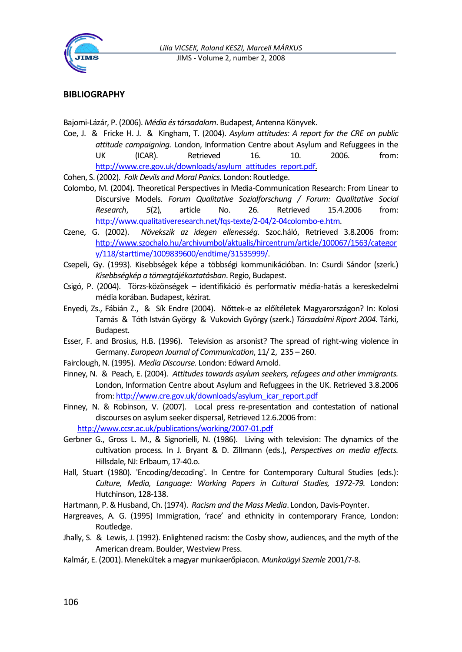

#### **BIBLIOGRAPHY**

Bajomi-Lázár, P. (2006). *Média és társadalom*. Budapest, Antenna Könyvek.

Coe, J. & Fricke H. J. & Kingham, T. (2004). *Asylum attitudes: A report for the CRE on public attitude campaigning.* London, Information Centre about Asylum and Refuggees in the UK (ICAR). Retrieved 16. 10. 2006. from: [http://www.cre.gov.uk/downloads/asylum\\_attitudes\\_report.pdf.](http://www.cre.gov.uk/downloads/asylum_attitudes_report.pdf)

Cohen, S. (2002). *Folk Devils and Moral Panics.* London: Routledge.

- Colombo, M. (2004). Theoretical Perspectives in Media-Communication Research: From Linear to Discursive Models. *Forum Qualitative Sozialforschung / Forum: Qualitative Social Research*, *5*(2), article No. 26. Retrieved 15.4.2006 from: [http://www.qualitativeresearch.net/fqs-texte/2-04/2-04colombo-e.htm.](http://www.qualitativeresearch.net/fqs-texte/2-04/2-04colombo-e.htm)
- Czene, G. (2002). *Növekszik az idegen ellenesség*. Szoc.háló, Retrieved 3.8.2006 from: [http://www.szochalo.hu/archivumbol/aktualis/hircentrum/article/100067/1563/categor](http://www.szochalo.hu/archivumbol/aktualis/hircentrum/article/100067/1563/category/118/starttime/1009839600/endtime/31535999/) [y/118/starttime/1009839600/endtime/31535999/.](http://www.szochalo.hu/archivumbol/aktualis/hircentrum/article/100067/1563/category/118/starttime/1009839600/endtime/31535999/)
- Csepeli, Gy. (1993). Kisebbségek képe a többségi kommunikációban. In: Csurdi Sándor (szerk.) *Kisebbségkép a tömegtájékoztatásban*. Regio, Budapest.
- Csigó, P. (2004). Törzs-közönségek identifikáció és performatív média-hatás a kereskedelmi média korában. Budapest, kézirat.
- Enyedi, Zs., Fábián Z., & Sík Endre (2004). Nőttek-e az előítéletek Magyarországon? In: Kolosi Tamás & Tóth István György & Vukovich György (szerk.) *Társadalmi Riport 2004*. Tárki, Budapest.
- Esser, F. and Brosius, H.B. (1996). Television as arsonist? The spread of right-wing violence in Germany. *European Journal of Communication*, 11/ 2, 235 – 260.
- Fairclough, N. (1995). *Media Discourse.* London: Edward Arnold.
- Finney, N. & Peach, E. (2004). *Attitudes towards asylum seekers, refugees and other immigrants.* London, Information Centre about Asylum and Refuggees in the UK. Retrieved 3.8.2006 from[: http://www.cre.gov.uk/downloads/asylum\\_icar\\_report.pdf](http://www.cre.gov.uk/downloads/asylum_icar_report.pdf)
- Finney, N. & Robinson, V. (2007). Local press re-presentation and contestation of national discourses on asylum seeker dispersal, Retrieved 12.6.2006 from: <http://www.ccsr.ac.uk/publications/working/2007-01.pdf>
- Gerbner G., Gross L. M., & Signorielli, N. (1986). Living with television: The dynamics of the cultivation process. In J. Bryant & D. Zillmann (eds.), *Perspectives on media effects.* Hillsdale, NJ: Erlbaum, 17-40.o.
- Hall, Stuart (1980). 'Encoding/decoding'. In Centre for Contemporary Cultural Studies (eds.): *Culture, Media, Language: Working Papers in Cultural Studies, 1972-79.* London: Hutchinson, 128-138.

Hartmann, P. & Husband, Ch. (1974). *Racism and the Mass Media*. London, Davis-Poynter.

- Hargreaves, A. G. (1995) Immigration, 'race' and ethnicity in contemporary France, London: Routledge.
- Jhally, S. & Lewis, J. (1992). Enlightened racism: the Cosby show, audiences, and the myth of the American dream. Boulder, Westview Press.
- Kalmár, E. (2001). Menekültek a magyar munkaerőpiacon*. Munkaügyi Szemle* 2001/7-8.